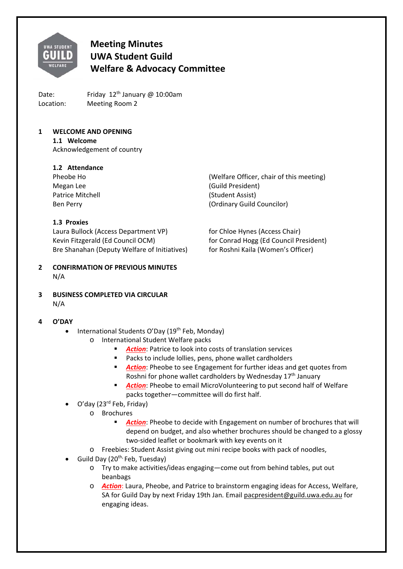

Date: Friday  $12^{th}$  January @ 10:00am Location: Meeting Room 2

## **1 WELCOME AND OPENING**

**1.1 Welcome**  Acknowledgement of country

## **1.2 Attendance**

Patrice Mitchell **Patrice Mitchell Patrice Mitchell** (Student Assist)

Pheobe Ho *Meobe Ho Allemance Compared (Welfare Officer, chair of this meeting)* Megan Lee (Guild President) Ben Perry **1988** (Ordinary Guild Councilor)

## **1.3 Proxies**

Laura Bullock (Access Department VP) for Chloe Hynes (Access Chair) Kevin Fitzgerald (Ed Council OCM) for Conrad Hogg (Ed Council President) Bre Shanahan (Deputy Welfare of Initiatives) for Roshni Kaila (Women's Officer)

**2 CONFIRMATION OF PREVIOUS MINUTES**  N/A

**3 BUSINESS COMPLETED VIA CIRCULAR**  N/A

## **4 O'DAY**

- International Students O'Day (19<sup>th</sup> Feb, Monday)
	- o International Student Welfare packs
		- *Action*: Patrice to look into costs of translation services
		- **Packs to include lollies, pens, phone wallet cardholders**
		- **Action:** Pheobe to see Engagement for further ideas and get quotes from Roshni for phone wallet cardholders by Wednesday 17<sup>th</sup> January
		- **Action:** Pheobe to email MicroVolunteering to put second half of Welfare packs together—committee will do first half.
- O'day (23rd Feb, Friday)
	- o Brochures
		- **Action:** Pheobe to decide with Engagement on number of brochures that will depend on budget, and also whether brochures should be changed to a glossy two‐sided leaflet or bookmark with key events on it
	- o Freebies: Student Assist giving out mini recipe books with pack of noodles,
- Guild Day (20<sup>th,</sup> Feb, Tuesday)
	- o Try to make activities/ideas engaging—come out from behind tables, put out beanbags
	- o *Action*: Laura, Pheobe, and Patrice to brainstorm engaging ideas for Access, Welfare, SA for Guild Day by next Friday 19th Jan*.* Email pacpresident@guild.uwa.edu.au for engaging ideas.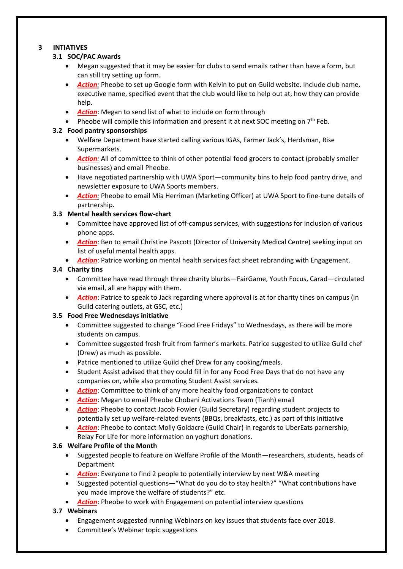## **3 INTIATIVES**

## **3.1 SOC/PAC Awards**

- Megan suggested that it may be easier for clubs to send emails rather than have a form, but can still try setting up form.
- **Action**: Pheobe to set up Google form with Kelvin to put on Guild website. Include club name, executive name, specified event that the club would like to help out at, how they can provide help.
- *Action*: Megan to send list of what to include on form through
- Pheobe will compile this information and present it at next SOC meeting on  $7<sup>th</sup>$  Feb.

## **3.2 Food pantry sponsorships**

- Welfare Department have started calling various IGAs, Farmer Jack's, Herdsman, Rise Supermarkets.
- **Action**: All of committee to think of other potential food grocers to contact (probably smaller businesses) and email Pheobe.
- Have negotiated partnership with UWA Sport—community bins to help food pantry drive, and newsletter exposure to UWA Sports members.
- **Action**: Pheobe to email Mia Herriman (Marketing Officer) at UWA Sport to fine-tune details of partnership.

## **3.3 Mental health services flow‐chart**

- Committee have approved list of off-campus services, with suggestions for inclusion of various phone apps.
- *Action*: Ben to email Christine Pascott (Director of University Medical Centre) seeking input on list of useful mental health apps.
- **Action:** Patrice working on mental health services fact sheet rebranding with Engagement.

## **3.4 Charity tins**

- Committee have read through three charity blurbs—FairGame, Youth Focus, Carad—circulated via email, all are happy with them.
- *Action*: Patrice to speak to Jack regarding where approval is at for charity tines on campus (in Guild catering outlets, at GSC, etc.)

## **3.5 Food Free Wednesdays initiative**

- Committee suggested to change "Food Free Fridays" to Wednesdays, as there will be more students on campus.
- Committee suggested fresh fruit from farmer's markets. Patrice suggested to utilize Guild chef (Drew) as much as possible.
- Patrice mentioned to utilize Guild chef Drew for any cooking/meals.
- Student Assist advised that they could fill in for any Food Free Days that do not have any companies on, while also promoting Student Assist services.
- *Action*: Committee to think of any more healthy food organizations to contact
- *Action*: Megan to email Pheobe Chobani Activations Team (Tianh) email
- *Action*: Pheobe to contact Jacob Fowler (Guild Secretary) regarding student projects to potentially set up welfare‐related events (BBQs, breakfasts, etc.) as part of this initiative
- *Action*: Pheobe to contact Molly Goldacre (Guild Chair) in regards to UberEats parnership, Relay For Life for more information on yoghurt donations.

## **3.6 Welfare Profile of the Month**

- Suggested people to feature on Welfare Profile of the Month—researchers, students, heads of Department
- *Action*: Everyone to find 2 people to potentially interview by next W&A meeting
- Suggested potential questions—"What do you do to stay health?" "What contributions have you made improve the welfare of students?" etc.
- **Action:** Pheobe to work with Engagement on potential interview questions

## **3.7 Webinars**

- Engagement suggested running Webinars on key issues that students face over 2018.
- Committee's Webinar topic suggestions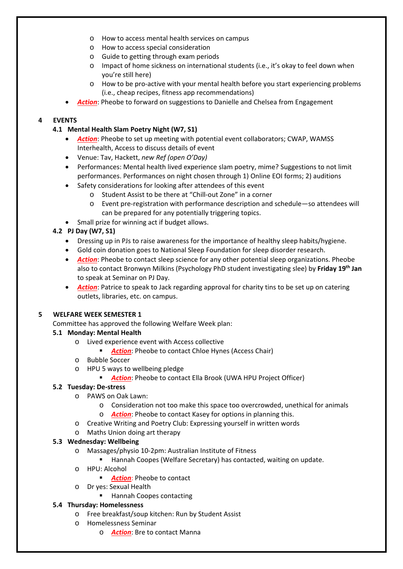- o How to access mental health services on campus
- o How to access special consideration
- o Guide to getting through exam periods
- $\circ$  Impact of home sickness on international students (i.e., it's okay to feel down when you're still here)
- o How to be pro‐active with your mental health before you start experiencing problems (i.e., cheap recipes, fitness app recommendations)
- *Action*: Pheobe to forward on suggestions to Danielle and Chelsea from Engagement

## **4 EVENTS**

## **4.1 Mental Health Slam Poetry Night (W7, S1)**

- *Action*: Pheobe to set up meeting with potential event collaborators; CWAP, WAMSS Interhealth, Access to discuss details of event
- Venue: Tav, Hackett, *new Ref (open O'Day)*
- Performances: Mental health lived experience slam poetry, mime? Suggestions to not limit performances. Performances on night chosen through 1) Online EOI forms; 2) auditions
- Safety considerations for looking after attendees of this event
	- o Student Assist to be there at "Chill‐out Zone" in a corner
	- o Event pre‐registration with performance description and schedule—so attendees will can be prepared for any potentially triggering topics.
- Small prize for winning act if budget allows.

## **4.2 PJ Day (W7, S1)**

- Dressing up in PJs to raise awareness for the importance of healthy sleep habits/hygiene.
- Gold coin donation goes to National Sleep Foundation for sleep disorder research.
- **Action:** Pheobe to contact sleep science for any other potential sleep organizations. Pheobe also to contact Bronwyn Milkins (Psychology PhD student investigating slee) by **Friday 19th Jan** to speak at Seminar on PJ Day.
- **Action:** Patrice to speak to Jack regarding approval for charity tins to be set up on catering outlets, libraries, etc. on campus.

## **5 WELFARE WEEK SEMESTER 1**

Committee has approved the following Welfare Week plan:

## **5.1 Monday: Mental Health**

- o Lived experience event with Access collective
	- **Action:** Pheobe to contact Chloe Hynes (Access Chair)
- o Bubble Soccer
- o HPU 5 ways to wellbeing pledge
	- **Action:** Pheobe to contact Ella Brook (UWA HPU Project Officer)

## **5.2 Tuesday: De‐stress**

- o PAWS on Oak Lawn:
	- o Consideration not too make this space too overcrowded, unethical for animals
	- o *Action*: Pheobe to contact Kasey for options in planning this.
- o Creative Writing and Poetry Club: Expressing yourself in written words
- o Maths Union doing art therapy

#### **5.3 Wednesday: Wellbeing**

- o Massages/physio 10‐2pm: Australian Institute of Fitness
	- Hannah Coopes (Welfare Secretary) has contacted, waiting on update.
- o HPU: Alcohol
	- *Action*: Pheobe to contact
- o Dr yes: Sexual Health
	- Hannah Coopes contacting

#### **5.4 Thursday: Homelessness**

- o Free breakfast/soup kitchen: Run by Student Assist
- o Homelessness Seminar
	- o *Action*: Bre to contact Manna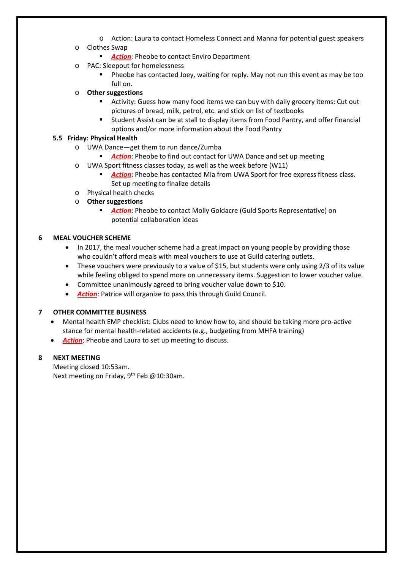- o Action: Laura to contact Homeless Connect and Manna for potential guest speakers
- o Clothes Swap
	- **Action:** Pheobe to contact Enviro Department
- o PAC: Sleepout for homelessness
	- Pheobe has contacted Joey, waiting for reply. May not run this event as may be too full on.
- o **Other suggestions**
	- Activity: Guess how many food items we can buy with daily grocery items: Cut out pictures of bread, milk, petrol, etc. and stick on list of textbooks
	- **EXT** Student Assist can be at stall to display items from Food Pantry, and offer financial options and/or more information about the Food Pantry

## **5.5 Friday: Physical Health**

- o UWA Dance—get them to run dance/Zumba
	- *Action*: Pheobe to find out contact for UWA Dance and set up meeting
- o UWA Sport fitness classes today, as well as the week before (W11)
	- *Action*: Pheobe has contacted Mia from UWA Sport for free express fitness class. Set up meeting to finalize details
- o Physical health checks
- o **Other suggestions** 
	- *Action*: Pheobe to contact Molly Goldacre (Guld Sports Representative) on potential collaboration ideas

#### **6 MEAL VOUCHER SCHEME**

- In 2017, the meal voucher scheme had a great impact on young people by providing those who couldn't afford meals with meal vouchers to use at Guild catering outlets.
- These vouchers were previously to a value of \$15, but students were only using 2/3 of its value while feeling obliged to spend more on unnecessary items. Suggestion to lower voucher value.
- Committee unanimously agreed to bring voucher value down to \$10.
- *Action*: Patrice will organize to pass this through Guild Council.

## **7 OTHER COMMITTEE BUSINESS**

- Mental health EMP checklist: Clubs need to know how to, and should be taking more pro‐active stance for mental health-related accidents (e.g., budgeting from MHFA training)
- *Action*: Pheobe and Laura to set up meeting to discuss.

## **8 NEXT MEETING**

Meeting closed 10:53am. Next meeting on Friday, 9<sup>th</sup> Feb @10:30am.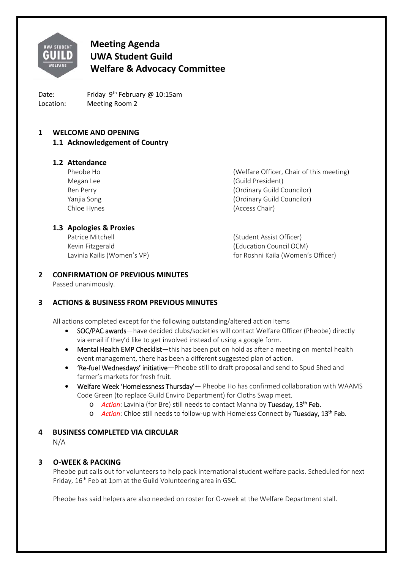

Date: Friday 9<sup>th</sup> February @ 10:15am Location: Meeting Room 2

## **1 WELCOME AND OPENING**

## **1.1 Acknowledgement of Country**

## **1.2 Attendance**

Pheobe Ho (Welfare Officer, Chair of this meeting) Megan Lee (Guild President) Ben Perry **Bullet Councilor Bullet Councilor Councilor Councilor Councilor Councilor Councilor Councilor Councilor Councilor Councilor Councilor Councilor Councilor Councilor Councilor** Yanjia Song (Ordinary Guild Councilor) Chloe Hynes (Access Chair)

## **1.3 Apologies & Proxies**

Patrice Mitchell **The Contract of Contract Assist Officer**) and Mitchell **Contract Officer** (Student Assist Officer) Kevin Fitzgerald **COVID-ENGINEER COUNCIL COVID-ENGINEER** (Education Council OCM)

Lavinia Kailis (Women's VP) for Roshni Kaila (Women's Officer)

## **2 CONFIRMATION OF PREVIOUS MINUTES**

Passed unanimously.

## **3 ACTIONS & BUSINESS FROM PREVIOUS MINUTES**

All actions completed except for the following outstanding/altered action items

- SOC/PAC awards—have decided clubs/societies will contact Welfare Officer (Pheobe) directly via email if they'd like to get involved instead of using a google form.
- Mental Health EMP Checklist-this has been put on hold as after a meeting on mental health event management, there has been a different suggested plan of action.
- 'Re-fuel Wednesdays' initiative—Pheobe still to draft proposal and send to Spud Shed and farmer's markets for fresh fruit.
- Welfare Week 'Homelessness Thursday'— Pheobe Ho has confirmed collaboration with WAAMS Code Green (to replace Guild Enviro Department) for Cloths Swap meet.
	- o *Action*: Lavinia (for Bre) still needs to contact Manna by Tuesday, 13<sup>th</sup> Feb.
	- o *Action*: Chloe still needs to follow‐up with Homeless Connect by Tuesday, 13th Feb.

## **4 BUSINESS COMPLETED VIA CIRCULAR**

N/A

## **3 O‐WEEK & PACKING**

Pheobe put calls out for volunteers to help pack international student welfare packs. Scheduled for next Friday, 16<sup>th</sup> Feb at 1pm at the Guild Volunteering area in GSC.

Pheobe has said helpers are also needed on roster for O-week at the Welfare Department stall.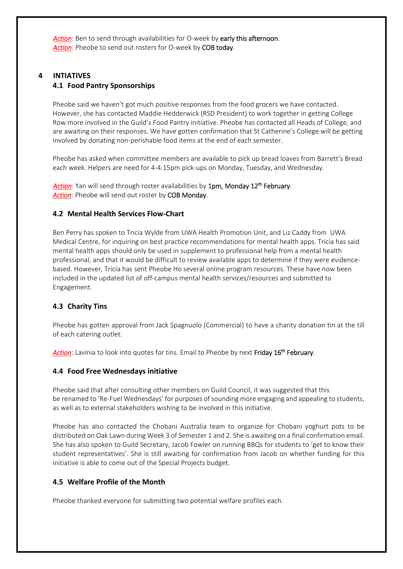Action: Ben to send through availabilities for O-week by early this afternoon. Action: Pheobe to send out rosters for O-week by COB today.

## **4 INTIATIVES 4.1 Food Pantry Sponsorships**

Pheobe said we haven't got much positive responses from the food grocers we have contacted. However, she has contacted Maddie Hedderwick (RSD President) to work together in getting College Row more involved in the Guild's Food Pantry initiative. Pheobe has contacted all Heads of College, and are awaiting on their responses. We have gotten confirmation that St Catherine's College will be getting involved by donating non‐perishable food items at the end of each semester.

Pheobe has asked when committee members are available to pick up bread loaves from Barrett's Bread each week. Helpers are need for 4‐4:15pm pick‐ups on Monday, Tuesday, and Wednesday.

Action: Yan will send through roster availabilities by 1pm, Monday 12<sup>th</sup> February. Action: Pheobe will send out roster by COB Monday.

## **4.2 Mental Health Services Flow‐Chart**

Ben Perry has spoken to Tricia Wylde from UWA Health Promotion Unit, and Liz Caddy from UWA Medical Centre, for inquiring on best practice recommendations for mental health apps. Tricia has said mental health apps should only be used in supplement to professional help from a mental health professional, and that it would be difficult to review available apps to determine if they were evidence‐ based. However, Tricia has sent Pheobe Ho several online program resources. These have now been included in the updated list of off‐campus mental health services/resources and submitted to Engagement.

## **4.3 Charity Tins**

Pheobe has gotten approval from Jack Spagnuolo (Commercial) to have a charity donation tin at the till of each catering outlet.

Action: Lavinia to look into quotes for tins. Email to Pheobe by next Friday 16<sup>th</sup> February.

#### **4.4 Food Free Wednesdays initiative**

Pheobe said that after consulting other members on Guild Council, it was suggested that this be renamed to 'Re-Fuel Wednesdays' for purposes of sounding more engaging and appealing to students, as well as to external stakeholders wishing to be involved in this initiative.

Pheobe has also contacted the Chobani Australia team to organize for Chobani yoghurt pots to be distributed on Oak Lawn during Week 3 of Semester 1 and 2. She is awaiting on a final confirmation email. She has also spoken to Guild Secretary, Jacob Fowler on running BBQs for students to 'get to know their student representatives'. She is still awaiting for confirmation from Jacob on whether funding for this initiative is able to come out of the Special Projects budget.

#### **4.5 Welfare Profile of the Month**

Pheobe thanked everyone for submitting two potential welfare profiles each.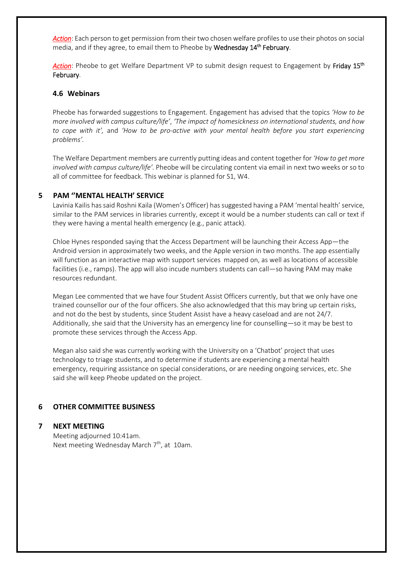*Action*: Each person to get permission from their two chosen welfare profiles to use their photos on social media, and if they agree, to email them to Pheobe by Wednesday 14<sup>th</sup> February.

Action: Pheobe to get Welfare Department VP to submit design request to Engagement by Friday 15<sup>th</sup> February.

#### **4.6 Webinars**

Pheobe has forwarded suggestions to Engagement. Engagement has advised that the topics *'How to be more involved with campus culture/life'*, *'The impact of homesickness on international students, and how to cope with it',*  and *'How to be pro‐active with your mental health before you start experiencing problems'.* 

The Welfare Department members are currently putting ideas and content together for *'How to get more involved with campus culture/life'.* Pheobe will be circulating content via email in next two weeks or so to all of committee for feedback. This webinar is planned for S1, W4.

#### **5 PAM ''MENTAL HEALTH' SERVICE**

Lavinia Kailis has said Roshni Kaila (Women's Officer) has suggested having a PAM 'mental health' service, similar to the PAM services in libraries currently, except it would be a number students can call or text if they were having a mental health emergency (e.g., panic attack).

Chloe Hynes responded saying that the Access Department will be launching their Access App—the Android version in approximately two weeks, and the Apple version in two months. The app essentially will function as an interactive map with support services mapped on, as well as locations of accessible facilities (i.e., ramps). The app will also incude numbers students can call—so having PAM may make resources redundant.

Megan Lee commented that we have four Student Assist Officers currently, but that we only have one trained counsellor our of the four officers. She also acknowledged that this may bring up certain risks, and not do the best by students, since Student Assist have a heavy caseload and are not 24/7. Additionally, she said that the University has an emergency line for counselling—so it may be best to promote these services through the Access App.

Megan also said she was currently working with the University on a 'Chatbot' project that uses technology to triage students, and to determine if students are experiencing a mental health emergency, requiring assistance on special considerations, or are needing ongoing services, etc. She said she will keep Pheobe updated on the project.

## **6 OTHER COMMITTEE BUSINESS**

#### **7 NEXT MEETING**

Meeting adjourned 10:41am. Next meeting Wednesday March 7<sup>th</sup>, at 10am.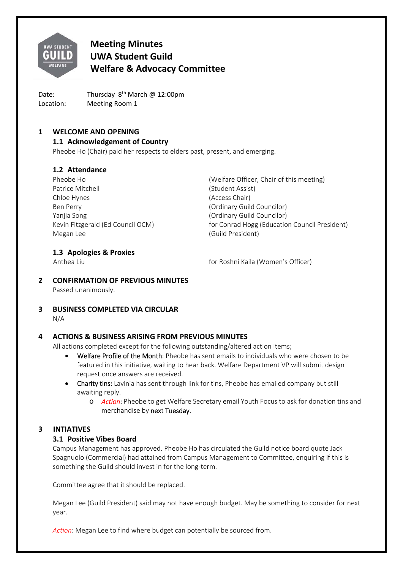

Date: Thursday  $8<sup>th</sup>$  March @ 12:00pm Location: Meeting Room 1

## **1 WELCOME AND OPENING**

## **1.1 Acknowledgement of Country**

Pheobe Ho (Chair) paid her respects to elders past, present, and emerging.

## **1.2 Attendance**

| Pheobe Ho                         |
|-----------------------------------|
| Patrice Mitchell                  |
| Chloe Hynes                       |
| Ben Perry                         |
| Yanjia Song                       |
| Kevin Fitzgerald (Ed Council OCM) |
| Megan Lee                         |

(Welfare Officer, Chair of this meeting) (Student Assist) (Access Chair) (Ordinary Guild Councilor) (Ordinary Guild Councilor) for Conrad Hogg (Education Council President) (Guild President)

## **1.3 Apologies & Proxies**

Anthea Liu **Anthea Liu 1997 - Anthea Liu 1997 - Anthea Liu Contrary and Contrary (Anti-**

- **2 CONFIRMATION OF PREVIOUS MINUTES**  Passed unanimously.
- **3 BUSINESS COMPLETED VIA CIRCULAR**

#### N/A

## **4 ACTIONS & BUSINESS ARISING FROM PREVIOUS MINUTES**

All actions completed except for the following outstanding/altered action items;

- Welfare Profile of the Month: Pheobe has sent emails to individuals who were chosen to be featured in this initiative, waiting to hear back. Welfare Department VP will submit design request once answers are received.
- Charity tins: Lavinia has sent through link for tins, Pheobe has emailed company but still awaiting reply.
	- o *Action*: Pheobe to get Welfare Secretary email Youth Focus to ask for donation tins and merchandise by next Tuesday.

## **3 INTIATIVES**

## **3.1 Positive Vibes Board**

Campus Management has approved. Pheobe Ho has circulated the Guild notice board quote Jack Spagnuolo (Commercial) had attained from Campus Management to Committee, enquiring if this is something the Guild should invest in for the long-term.

Committee agree that it should be replaced.

Megan Lee (Guild President) said may not have enough budget. May be something to consider for next year.

*Action*: Megan Lee to find where budget can potentially be sourced from.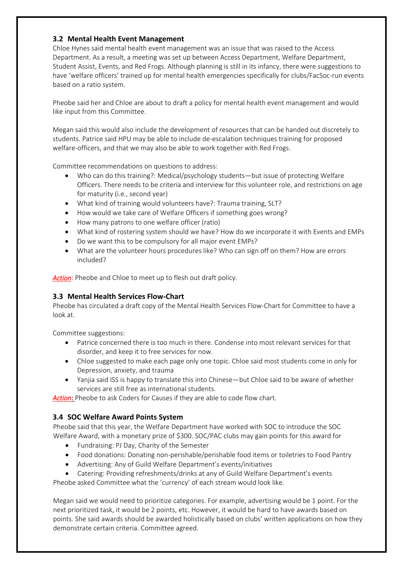## **3.2 Mental Health Event Management**

Chloe Hynes said mental health event management was an issue that was raised to the Access Department. As a result, a meeting was set up between Access Department, Welfare Department, Student Assist, Events, and Red Frogs. Although planning is still in its infancy, there were suggestions to have 'welfare officers' trained up for mental health emergencies specifically for clubs/FacSoc-run events based on a ratio system.

Pheobe said her and Chloe are about to draft a policy for mental health event management and would like input from this Committee.

Megan said this would also include the development of resources that can be handed out discretely to students. Patrice said HPU may be able to include de‐escalation techniques training for proposed welfare-officers, and that we may also be able to work together with Red Frogs.

Committee recommendations on questions to address:

- Who can do this training?: Medical/psychology students—but issue of protecting Welfare Officers. There needs to be criteria and interview for this volunteer role, and restrictions on age for maturity (i.e., second year)
- What kind of training would volunteers have?: Trauma training, SLT?
- How would we take care of Welfare Officers if something goes wrong?
- How many patrons to one welfare officer (ratio)
- What kind of rostering system should we have? How do we incorporate it with Events and EMPs
- Do we want this to be compulsory for all major event EMPs?
- What are the volunteer hours procedures like? Who can sign off on them? How are errors included?

*Action*: Pheobe and Chloe to meet up to flesh out draft policy.

## **3.3 Mental Health Services Flow‐Chart**

Pheobe has circulated a draft copy of the Mental Health Services Flow‐Chart for Committee to have a look at.

Committee suggestions:

- Patrice concerned there is too much in there. Condense into most relevant services for that disorder, and keep it to free services for now.
- Chloe suggested to make each page only one topic. Chloe said most students come in only for Depression, anxiety, and trauma
- Yanjia said ISS is happy to translate this into Chinese—but Chloe said to be aware of whether services are still free as international students.

*Action*: Pheobe to ask Coders for Causes if they are able to code flow chart.

## **3.4 SOC Welfare Award Points System**

Pheobe said that this year, the Welfare Department have worked with SOC to introduce the SOC Welfare Award, with a monetary prize of \$300. SOC/PAC clubs may gain points for this award for

- Fundraising: PJ Day, Charity of the Semester
- Food donations: Donating non‐perishable/perishable food items or toiletries to Food Pantry
- Advertising: Any of Guild Welfare Department's events/initiatives
- Catering: Providing refreshments/drinks at any of Guild Welfare Department's events Pheobe asked Committee what the 'currency' of each stream would look like.

Megan said we would need to prioritize categories. For example, advertising would be 1 point. For the next prioritized task, it would be 2 points, etc. However, it would be hard to have awards based on points. She said awards should be awarded holistically based on clubs' written applications on how they demonstrate certain criteria. Committee agreed.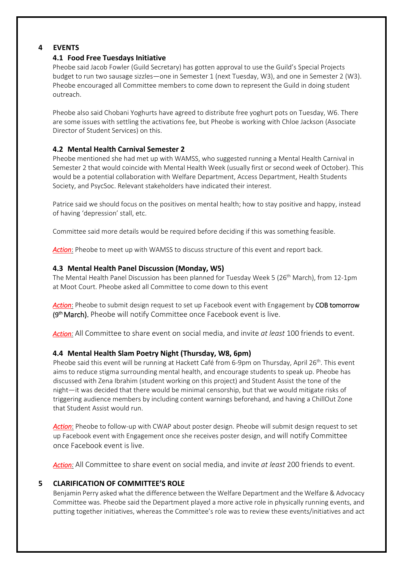## **4 EVENTS**

## **4.1 Food Free Tuesdays Initiative**

Pheobe said Jacob Fowler (Guild Secretary) has gotten approval to use the Guild's Special Projects budget to run two sausage sizzles—one in Semester 1 (next Tuesday, W3), and one in Semester 2 (W3). Pheobe encouraged all Committee members to come down to represent the Guild in doing student outreach.

Pheobe also said Chobani Yoghurts have agreed to distribute free yoghurt pots on Tuesday, W6. There are some issues with settling the activations fee, but Pheobe is working with Chloe Jackson (Associate Director of Student Services) on this.

## **4.2 Mental Health Carnival Semester 2**

Pheobe mentioned she had met up with WAMSS, who suggested running a Mental Health Carnival in Semester 2 that would coincide with Mental Health Week (usually first or second week of October). This would be a potential collaboration with Welfare Department, Access Department, Health Students Society, and PsycSoc. Relevant stakeholders have indicated their interest.

Patrice said we should focus on the positives on mental health; how to stay positive and happy, instead of having 'depression' stall, etc.

Committee said more details would be required before deciding if this was something feasible.

Action: Pheobe to meet up with WAMSS to discuss structure of this event and report back.

## **4.3 Mental Health Panel Discussion (Monday, W5)**

The Mental Health Panel Discussion has been planned for Tuesday Week 5 (26<sup>th</sup> March), from 12-1pm at Moot Court. Pheobe asked all Committee to come down to this event

Action: Pheobe to submit design request to set up Facebook event with Engagement by COB tomorrow (9<sup>th</sup> March). Pheobe will notify Committee once Facebook event is live.

*Action:* All Committee to share event on social media, and invite *at least* 100 friends to event.

## **4.4 Mental Health Slam Poetry Night (Thursday, W8, 6pm)**

Pheobe said this event will be running at Hackett Café from 6-9pm on Thursday, April 26<sup>th</sup>. This event aims to reduce stigma surrounding mental health, and encourage students to speak up. Pheobe has discussed with Zena Ibrahim (student working on this project) and Student Assist the tone of the night—it was decided that there would be minimal censorship, but that we would mitigate risks of triggering audience members by including content warnings beforehand, and having a ChillOut Zone that Student Assist would run.

*Action*: Pheobe to follow‐up with CWAP about poster design. Pheobe will submit design request to set up Facebook event with Engagement once she receives poster design, and will notify Committee once Facebook event is live.

*Action:* All Committee to share event on social media, and invite *at least* 200 friends to event.

## **5 CLARIFICATION OF COMMITTEE'S ROLE**

Benjamin Perry asked what the difference between the Welfare Department and the Welfare & Advocacy Committee was. Pheobe said the Department played a more active role in physically running events, and putting together initiatives, whereas the Committee's role was to review these events/initiatives and act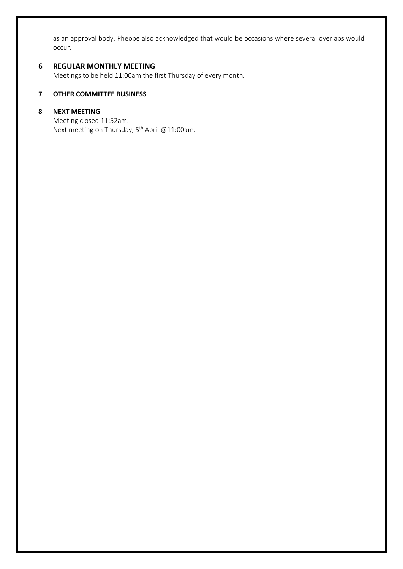as an approval body. Pheobe also acknowledged that would be occasions where several overlaps would occur.

#### **6 REGULAR MONTHLY MEETING**

Meetings to be held 11:00am the first Thursday of every month.

#### **7 OTHER COMMITTEE BUSINESS**

## **8 NEXT MEETING**

Meeting closed 11:52am. Next meeting on Thursday, 5<sup>th</sup> April @11:00am.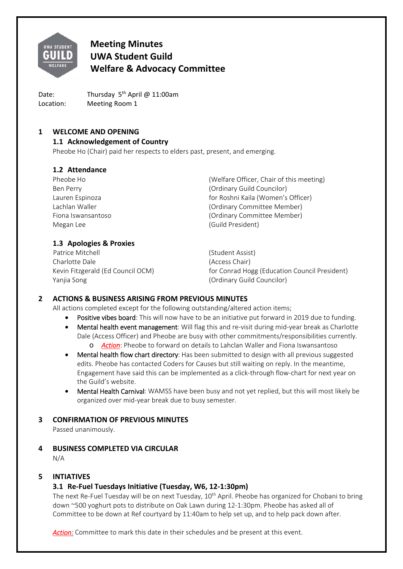

Date: Thursday 5<sup>th</sup> April @ 11:00am Location: Meeting Room 1

## **1 WELCOME AND OPENING**

#### **1.1 Acknowledgement of Country**

Pheobe Ho (Chair) paid her respects to elders past, present, and emerging.

## **1.2 Attendance**

| Pheobe Ho          | (Welfare Officer, Chair of this meeting) |  |
|--------------------|------------------------------------------|--|
| Ben Perry          | (Ordinary Guild Councilor)               |  |
| Lauren Espinoza    | for Roshni Kaila (Women's Officer)       |  |
| Lachlan Waller     | (Ordinary Committee Member)              |  |
| Fiona Iswansantoso | (Ordinary Committee Member)              |  |
| Megan Lee          | (Guild President)                        |  |
|                    |                                          |  |

## **1.3 Apologies & Proxies**

Patrice Mitchell **and Contact Contact Contact Contact Contact Contact Contact Contact Contact Contact Contact Contact Contact Contact Contact Contact Contact Contact Contact Contact Contact Contact Contact Contact Contact** Charlotte Dale **Charlotte Dale** (Access Chair) Yanjia Song (Ordinary Guild Councilor)

Kevin Fitzgerald (Ed Council OCM) for Conrad Hogg (Education Council President)

## **2 ACTIONS & BUSINESS ARISING FROM PREVIOUS MINUTES**

All actions completed except for the following outstanding/altered action items;

- Positive vibes board: This will now have to be an initiative put forward in 2019 due to funding.
- Mental health event management: Will flag this and re-visit during mid-year break as Charlotte Dale (Access Officer) and Pheobe are busy with other commitments/responsibilities currently. o *Action*: Pheobe to forward on details to Lahclan Waller and Fiona Iswansantoso
- Mental health flow chart directory: Has been submitted to design with all previous suggested edits. Pheobe has contacted Coders for Causes but still waiting on reply. In the meantime, Engagement have said this can be implemented as a click‐through flow‐chart for next year on the Guild's website.
- Mental Health Carnival: WAMSS have been busy and not yet replied, but this will most likely be organized over mid‐year break due to busy semester.

## **3 CONFIRMATION OF PREVIOUS MINUTES**

Passed unanimously.

**4 BUSINESS COMPLETED VIA CIRCULAR** 

N/A

## **5 INTIATIVES**

## **3.1 Re‐Fuel Tuesdays Initiative (Tuesday, W6, 12‐1:30pm)**

The next Re-Fuel Tuesday will be on next Tuesday,  $10^{th}$  April. Pheobe has organized for Chobani to bring down ~500 yoghurt pots to distribute on Oak Lawn during 12‐1:30pm. Pheobe has asked all of Committee to be down at Ref courtyard by 11:40am to help set up, and to help pack down after.

*Action:* Committee to mark this date in their schedules and be present at this event.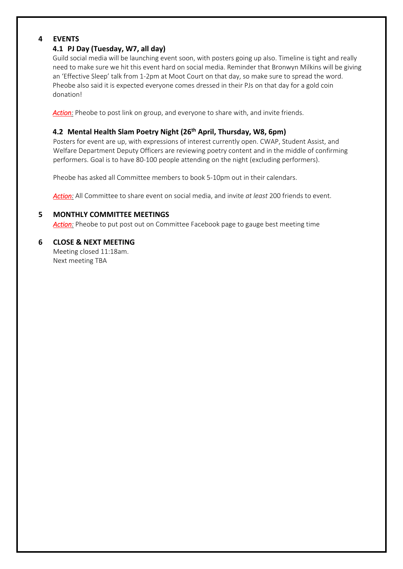## **4 EVENTS**

## **4.1 PJ Day (Tuesday, W7, all day)**

Guild social media will be launching event soon, with posters going up also. Timeline is tight and really need to make sure we hit this event hard on social media. Reminder that Bronwyn Milkins will be giving an 'Effective Sleep' talk from 1‐2pm at Moot Court on that day, so make sure to spread the word. Pheobe also said it is expected everyone comes dressed in their PJs on that day for a gold coin donation!

Action: Pheobe to post link on group, and everyone to share with, and invite friends.

## **4.2 Mental Health Slam Poetry Night (26th April, Thursday, W8, 6pm)**

Posters for event are up, with expressions of interest currently open. CWAP, Student Assist, and Welfare Department Deputy Officers are reviewing poetry content and in the middle of confirming performers. Goal is to have 80-100 people attending on the night (excluding performers).

Pheobe has asked all Committee members to book 5‐10pm out in their calendars.

*Action:* All Committee to share event on social media, and invite *at least* 200 friends to event.

## **5 MONTHLY COMMITTEE MEETINGS**

Action: Pheobe to put post out on Committee Facebook page to gauge best meeting time

## **6 CLOSE & NEXT MEETING**

Meeting closed 11:18am. Next meeting TBA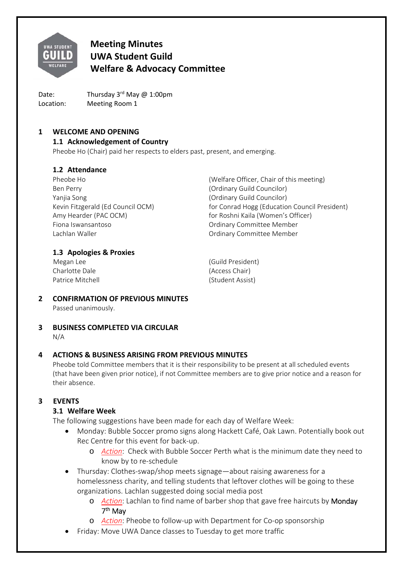

Date: Thursday 3<sup>rd</sup> May @ 1:00pm Location: Meeting Room 1

## **1 WELCOME AND OPENING**

## **1.1 Acknowledgement of Country**

Pheobe Ho (Chair) paid her respects to elders past, present, and emerging.

## **1.2 Attendance**

Ben Perry **Burne and American Councilor** (Ordinary Guild Councilor) Yanjia Song (Ordinary Guild Councilor) Amy Hearder (PAC OCM) for Roshni Kaila (Women's Officer) Fiona Iswansantoso *COMPA* Committee Member Lachlan Waller Ordinary Committee Member

Pheobe Ho (Welfare Officer, Chair of this meeting) Kevin Fitzgerald (Ed Council OCM) for Conrad Hogg (Education Council President)

## **1.3 Apologies & Proxies**

| Megan Lee        |  |
|------------------|--|
| Charlotte Dale   |  |
| Patrice Mitchell |  |

(Guild President) (Access Chair) (Student Assist)

## **2 CONFIRMATION OF PREVIOUS MINUTES**

Passed unanimously.

# **3 BUSINESS COMPLETED VIA CIRCULAR**

N/A

## **4 ACTIONS & BUSINESS ARISING FROM PREVIOUS MINUTES**

Pheobe told Committee members that it is their responsibility to be present at all scheduled events (that have been given prior notice), if not Committee members are to give prior notice and a reason for their absence.

## **3 EVENTS**

## **3.1 Welfare Week**

The following suggestions have been made for each day of Welfare Week:

- Monday: Bubble Soccer promo signs along Hackett Café, Oak Lawn. Potentially book out Rec Centre for this event for back‐up.
	- o *Action*: Check with Bubble Soccer Perth what is the minimum date they need to know by to re‐schedule
- Thursday: Clothes‐swap/shop meets signage—about raising awareness for a homelessness charity, and telling students that leftover clothes will be going to these organizations. Lachlan suggested doing social media post
	- o *Action*: Lachlan to find name of barber shop that gave free haircuts by Monday 7th May
	- o *Action*: Pheobe to follow‐up with Department for Co‐op sponsorship
- Friday: Move UWA Dance classes to Tuesday to get more traffic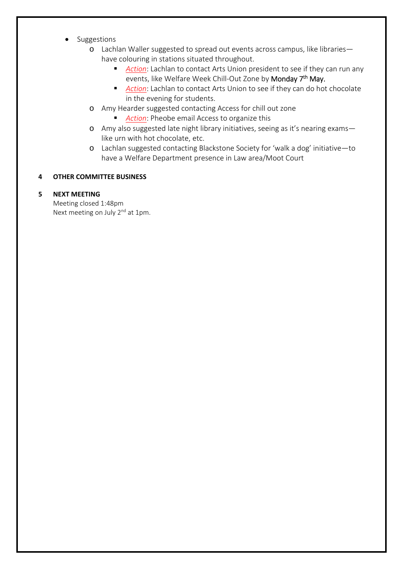- Suggestions
	- o Lachlan Waller suggested to spread out events across campus, like libraries have colouring in stations situated throughout.
		- **Action:** Lachlan to contact Arts Union president to see if they can run any events, like Welfare Week Chill-Out Zone by Monday 7<sup>th</sup> May.
		- *Action*: Lachlan to contact Arts Union to see if they can do hot chocolate in the evening for students.
	- o Amy Hearder suggested contacting Access for chill out zone
		- *Action*: Pheobe email Access to organize this
	- o Amy also suggested late night library initiatives, seeing as it's nearing exams like urn with hot chocolate, etc.
	- o Lachlan suggested contacting Blackstone Society for 'walk a dog' initiative—to have a Welfare Department presence in Law area/Moot Court

## **4 OTHER COMMITTEE BUSINESS**

## **5 NEXT MEETING**

Meeting closed 1:48pm Next meeting on July 2<sup>nd</sup> at 1pm.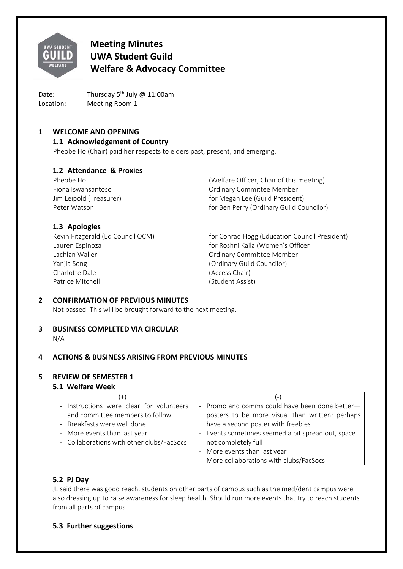

Date: Thursday 5<sup>th</sup> July @ 11:00am Location: Meeting Room 1

## **1 WELCOME AND OPENING**

#### **1.1 Acknowledgement of Country**

Pheobe Ho (Chair) paid her respects to elders past, present, and emerging.

## **1.2 Attendance & Proxies**

## **1.3 Apologies**

Lauren Espinoza for Roshni Kaila (Women's Officer Lachlan Waller **The Committee Member** Committee Member Yanjia Song (Ordinary Guild Councilor) Charlotte Dale **Charlotte Dale** (Access Chair) Patrice Mitchell **and Contact Contact Contact Contact Contact Contact Contact Contact Contact Contact Contact Contact Contact Contact Contact Contact Contact Contact Contact Contact Contact Contact Contact Contact Contact** 

Pheobe Ho (Welfare Officer, Chair of this meeting) Fiona Iswansantoso Ordinary Committee Member Jim Leipold (Treasurer) for Megan Lee (Guild President) Peter Watson *Peter Watson* *Meter Watson Meter Watson* **<b>***Meter Watson Meter Watson Meter Watson Meter Watson Meter Watson Meter Watson Meter Watson Meter Watson Meter Watson Met* 

Kevin Fitzgerald (Ed Council OCM) for Conrad Hogg (Education Council President)

## **2 CONFIRMATION OF PREVIOUS MINUTES**

Not passed. This will be brought forward to the next meeting.

## **3 BUSINESS COMPLETED VIA CIRCULAR**

N/A

## **4 ACTIONS & BUSINESS ARISING FROM PREVIOUS MINUTES**

#### **5 REVIEW OF SEMESTER 1**

## **5.1 Welfare Week**

| $+$                                       |                                                   |  |
|-------------------------------------------|---------------------------------------------------|--|
| - Instructions were clear for volunteers  | - Promo and comms could have been done better-    |  |
| and committee members to follow           | posters to be more visual than written; perhaps   |  |
| - Breakfasts were well done               | have a second poster with freebies                |  |
| - More events than last year              | - Events sometimes seemed a bit spread out, space |  |
| - Collaborations with other clubs/FacSocs | not completely full                               |  |
|                                           | - More events than last year                      |  |
|                                           | - More collaborations with clubs/FacSocs          |  |

## **5.2 PJ Day**

JL said there was good reach, students on other parts of campus such as the med/dent campus were also dressing up to raise awareness for sleep health. Should run more events that try to reach students from all parts of campus

## **5.3 Further suggestions**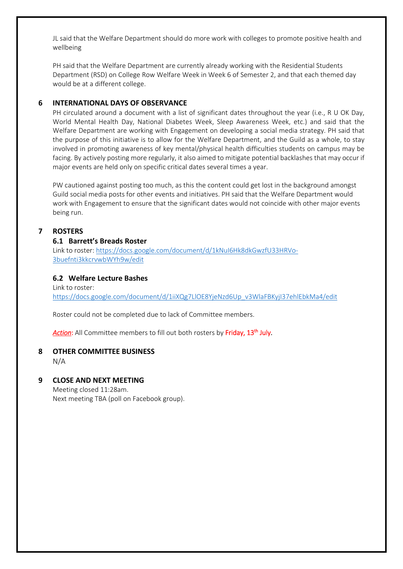JL said that the Welfare Department should do more work with colleges to promote positive health and wellbeing

PH said that the Welfare Department are currently already working with the Residential Students Department (RSD) on College Row Welfare Week in Week 6 of Semester 2, and that each themed day would be at a different college.

## **6 INTERNATIONAL DAYS OF OBSERVANCE**

PH circulated around a document with a list of significant dates throughout the year (i.e., R U OK Day, World Mental Health Day, National Diabetes Week, Sleep Awareness Week, etc.) and said that the Welfare Department are working with Engagement on developing a social media strategy. PH said that the purpose of this initiative is to allow for the Welfare Department, and the Guild as a whole, to stay involved in promoting awareness of key mental/physical health difficulties students on campus may be facing. By actively posting more regularly, it also aimed to mitigate potential backlashes that may occur if major events are held only on specific critical dates several times a year.

PW cautioned against posting too much, as this the content could get lost in the background amongst Guild social media posts for other events and initiatives. PH said that the Welfare Department would work with Engagement to ensure that the significant dates would not coincide with other major events being run.

## **7 ROSTERS**

## **6.1 Barrett's Breads Roster**

Link to roster: https://docs.google.com/document/d/1kNuI6Hk8dkGwzfU33HRVo‐ 3buefnti3kkcrvwbWYh9w/edit

## **6.2 Welfare Lecture Bashes**

Link to roster: https://docs.google.com/document/d/1iiXQg7LlOE8YjeNzd6Up\_v3WlaFBKyjI37ehlEbkMa4/edit

Roster could not be completed due to lack of Committee members.

Action: All Committee members to fill out both rosters by Friday, 13<sup>th</sup> July.

## **8 OTHER COMMITTEE BUSINESS**

N/A

## **9 CLOSE AND NEXT MEETING**

Meeting closed 11:28am. Next meeting TBA (poll on Facebook group).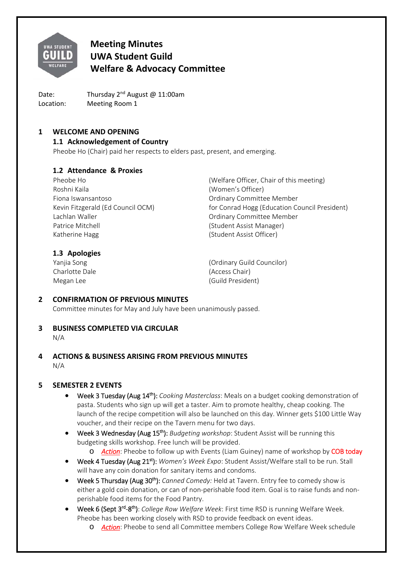

Date: Thursday 2<sup>nd</sup> August @ 11:00am Location: Meeting Room 1

## **1 WELCOME AND OPENING**

## **1.1 Acknowledgement of Country**

Pheobe Ho (Chair) paid her respects to elders past, present, and emerging.

## **1.2 Attendance & Proxies**

Roshni Kaila (Women's Officer) Fiona Iswansantoso Ordinary Committee Member Lachlan Waller Ordinary Committee Member Patrice Mitchell *Patrice Mitchell*  **Exercise 20** (Student Assist Manager) Katherine Hagg Sales and Student Assist Officer)

Pheobe Ho (Welfare Officer, Chair of this meeting) Kevin Fitzgerald (Ed Council OCM) for Conrad Hogg (Education Council President)

## **1.3 Apologies**

Yanjia Song (Ordinary Guild Councilor) Charlotte Dale **Charlotte Dale 120 Access Chair** (Access Chair) Megan Lee (Guild President)

## **2 CONFIRMATION OF PREVIOUS MINUTES**

Committee minutes for May and July have been unanimously passed.

## **3 BUSINESS COMPLETED VIA CIRCULAR**

N/A

**4 ACTIONS & BUSINESS ARISING FROM PREVIOUS MINUTES** 

N/A

## **5 SEMESTER 2 EVENTS**

- Week 3 Tuesday (Aug 14th): *Cooking Masterclass*: Meals on a budget cooking demonstration of pasta. Students who sign up will get a taster. Aim to promote healthy, cheap cooking. The launch of the recipe competition will also be launched on this day. Winner gets \$100 Little Way voucher, and their recipe on the Tavern menu for two days.
- Week 3 Wednesday (Aug 15<sup>th</sup>): *Budgeting workshop*: Student Assist will be running this budgeting skills workshop. Free lunch will be provided.
	- o *Action*: Pheobe to follow up with Events (Liam Guiney) name of workshop by COB today
- Week 4 Tuesday (Aug 21<sup>st</sup>): *Women's Week Expo*: Student Assist/Welfare stall to be run. Stall will have any coin donation for sanitary items and condoms.
- Week 5 Thursday (Aug 30<sup>th</sup>): *Canned Comedy:* Held at Tavern. Entry fee to comedy show is either a gold coin donation, or can of non-perishable food item. Goal is to raise funds and nonperishable food items for the Food Pantry.
- Week 6 (Sept 3<sup>rd</sup>-8<sup>th</sup>): *College Row Welfare Week*: First time RSD is running Welfare Week. Pheobe has been working closely with RSD to provide feedback on event ideas.
	- o *Action*: Pheobe to send all Committee members College Row Welfare Week schedule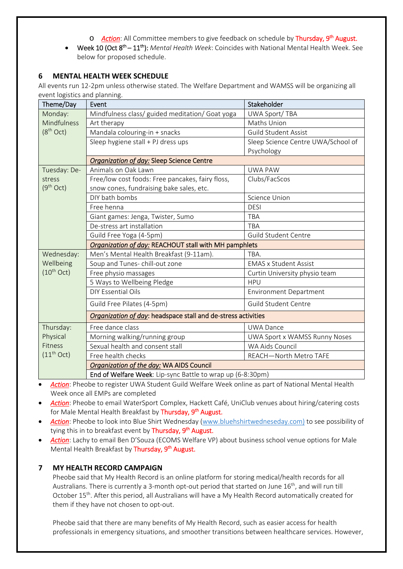- o *Action*: All Committee members to give feedback on schedule by Thursday, 9th August.
- Week 10 (Oct 8<sup>th</sup> 11<sup>th</sup>): *Mental Health Week*: Coincides with National Mental Health Week. See below for proposed schedule.

## **6 MENTAL HEALTH WEEK SCHEDULE**

All events run 12‐2pm unless otherwise stated. The Welfare Department and WAMSS will be organizing all event logistics and planning.

| Theme/Day              | Event                                                         | Stakeholder                        |  |  |
|------------------------|---------------------------------------------------------------|------------------------------------|--|--|
| Monday:                | Mindfulness class/ guided meditation/ Goat yoga               | UWA Sport/TBA                      |  |  |
| Mindfulness            | Art therapy                                                   | Maths Union                        |  |  |
| (8 <sup>th</sup> Oct)  | Mandala colouring-in + snacks                                 | <b>Guild Student Assist</b>        |  |  |
|                        | Sleep hygiene stall + PJ dress ups                            | Sleep Science Centre UWA/School of |  |  |
|                        |                                                               | Psychology                         |  |  |
|                        | <b>Organization of day: Sleep Science Centre</b>              |                                    |  |  |
| Tuesday: De-           | Animals on Oak Lawn                                           | <b>UWA PAW</b>                     |  |  |
| stress                 | Free/low cost foods: Free pancakes, fairy floss,              | Clubs/FacScos                      |  |  |
| (9 <sup>th</sup> Oct)  | snow cones, fundraising bake sales, etc.                      |                                    |  |  |
|                        | DIY bath bombs                                                | Science Union                      |  |  |
|                        | Free henna                                                    | <b>DESI</b>                        |  |  |
|                        | Giant games: Jenga, Twister, Sumo                             | <b>TBA</b>                         |  |  |
|                        | De-stress art installation                                    | <b>TBA</b>                         |  |  |
|                        | Guild Free Yoga (4-5pm)                                       | Guild Student Centre               |  |  |
|                        | Organization of day: REACHOUT stall with MH pamphlets         |                                    |  |  |
| Wednesday:             | Men's Mental Health Breakfast (9-11am).                       | TBA.                               |  |  |
| Wellbeing              | Soup and Tunes- chill-out zone                                | <b>EMAS x Student Assist</b>       |  |  |
| $(10^{th}$ Oct)        | Free physio massages                                          | Curtin University physio team      |  |  |
|                        | 5 Ways to Wellbeing Pledge                                    | <b>HPU</b>                         |  |  |
|                        | <b>DIY Essential Oils</b>                                     | <b>Environment Department</b>      |  |  |
|                        | Guild Free Pilates (4-5pm)                                    | Guild Student Centre               |  |  |
|                        | Organization of day: headspace stall and de-stress activities |                                    |  |  |
| Thursday:              | Free dance class                                              | <b>UWA Dance</b>                   |  |  |
| Physical               | Morning walking/running group                                 | UWA Sport x WAMSS Runny Noses      |  |  |
| <b>Fitness</b>         | Sexual health and consent stall                               | WA Aids Council                    |  |  |
| (11 <sup>th</sup> Oct) | Free health checks                                            | REACH-North Metro TAFE             |  |  |
|                        | Organization of the day: WA AIDS Council                      |                                    |  |  |
|                        | End of Welfare Week: Lip-sync Battle to wrap up (6-8:30pm)    |                                    |  |  |

 *Action*: Pheobe to register UWA Student Guild Welfare Week online as part of National Mental Health Week once all EMPs are completed

- *Action*: Pheobe to email WaterSport Complex, Hackett Café, UniClub venues about hiring/catering costs for Male Mental Health Breakfast by Thursday, 9<sup>th</sup> August.
- *Action*: Pheobe to look into Blue Shirt Wednesday (www.bluehshirtwedneseday.com) to see possibility of tying this in to breakfast event by Thursday, 9<sup>th</sup> August.
- *Action*: Lachy to email Ben D'Souza (ECOMS Welfare VP) about business school venue options for Male Mental Health Breakfast by Thursday, 9<sup>th</sup> August.

## **7 MY HEALTH RECORD CAMPAIGN**

Pheobe said that My Health Record is an online platform for storing medical/health records for all Australians. There is currently a 3-month opt-out period that started on June 16<sup>th</sup>, and will run till October 15<sup>th</sup>. After this period, all Australians will have a My Health Record automatically created for them if they have not chosen to opt-out.

Pheobe said that there are many benefits of My Health Record, such as easier access for health professionals in emergency situations, and smoother transitions between healthcare services. However,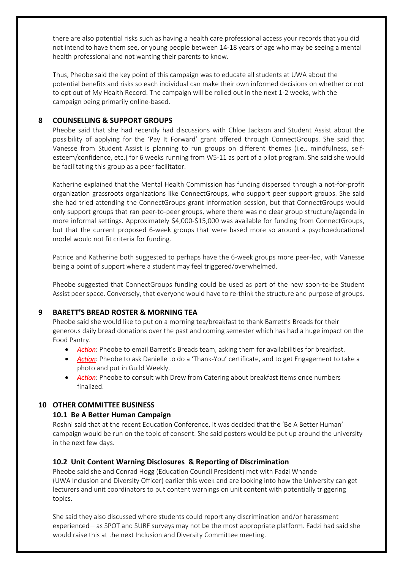there are also potential risks such as having a health care professional access your records that you did not intend to have them see, or young people between 14‐18 years of age who may be seeing a mental health professional and not wanting their parents to know.

Thus, Pheobe said the key point of this campaign was to educate all students at UWA about the potential benefits and risks so each individual can make their own informed decisions on whether or not to opt out of My Health Record. The campaign will be rolled out in the next 1‐2 weeks, with the campaign being primarily online‐based.

## **8 COUNSELLING & SUPPORT GROUPS**

Pheobe said that she had recently had discussions with Chloe Jackson and Student Assist about the possibility of applying for the 'Pay It Forward' grant offered through ConnectGroups. She said that Vanesse from Student Assist is planning to run groups on different themes (i.e., mindfulness, self‐ esteem/confidence, etc.) for 6 weeks running from W5‐11 as part of a pilot program. She said she would be facilitating this group as a peer facilitator.

Katherine explained that the Mental Health Commission has funding dispersed through a not‐for‐profit organization grassroots organizations like ConnectGroups, who support peer support groups. She said she had tried attending the ConnectGroups grant information session, but that ConnectGroups would only support groups that ran peer‐to‐peer groups, where there was no clear group structure/agenda in more informal settings. Approximately \$4,000‐\$15,000 was available for funding from ConnectGroups, but that the current proposed 6‐week groups that were based more so around a psychoeducational model would not fit criteria for funding.

Patrice and Katherine both suggested to perhaps have the 6‐week groups more peer‐led, with Vanesse being a point of support where a student may feel triggered/overwhelmed.

Pheobe suggested that ConnectGroups funding could be used as part of the new soon-to-be Student Assist peer space. Conversely, that everyone would have to re-think the structure and purpose of groups.

## **9 BARETT'S BREAD ROSTER & MORNING TEA**

Pheobe said she would like to put on a morning tea/breakfast to thank Barrett's Breads for their generous daily bread donations over the past and coming semester which has had a huge impact on the Food Pantry.

- **Action**: Pheobe to email Barrett's Breads team, asking them for availabilities for breakfast.
- *Action*: Pheobe to ask Danielle to do a 'Thank-You' certificate, and to get Engagement to take a photo and put in Guild Weekly.
- **Action**: Pheobe to consult with Drew from Catering about breakfast items once numbers finalized.

## **10 OTHER COMMITTEE BUSINESS**

## **10.1 Be A Better Human Campaign**

Roshni said that at the recent Education Conference, it was decided that the 'Be A Better Human' campaign would be run on the topic of consent. She said posters would be put up around the university in the next few days.

## **10.2 Unit Content Warning Disclosures & Reporting of Discrimination**

Pheobe said she and Conrad Hogg (Education Council President) met with Fadzi Whande (UWA Inclusion and Diversity Officer) earlier this week and are looking into how the University can get lecturers and unit coordinators to put content warnings on unit content with potentially triggering topics.

She said they also discussed where students could report any discrimination and/or harassment experienced—as SPOT and SURF surveys may not be the most appropriate platform. Fadzi had said she would raise this at the next Inclusion and Diversity Committee meeting.